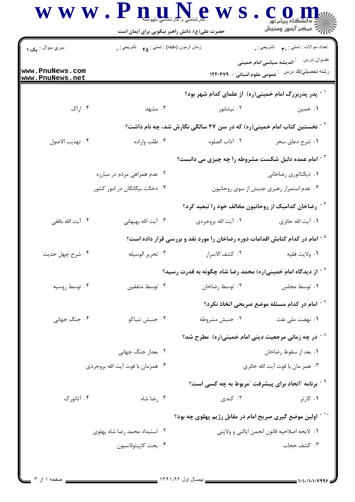|                                    | $\bf W \bf W \bf W \cdot \bf P \bf \Pi$                        | حضرت علی(ع): دانش راهبر نیکویی برای ایمان است                                            | ے<br>ا <i>لادھر</i> کز آزمون وسنجش                                                                        |  |  |
|------------------------------------|----------------------------------------------------------------|------------------------------------------------------------------------------------------|-----------------------------------------------------------------------------------------------------------|--|--|
| سري سوال : يک ۱                    | زمان أزمون (دقيقه) : تستى : ۴۵ - تشريحي : .                    |                                                                                          | تعداد سوالات : تستي : ٩٠       تشريحي : .                                                                 |  |  |
| www.PnuNews.com<br>www.PnuNews.net |                                                                |                                                                                          | عنــوان درس<br><sup>:</sup> اندیشه سیاسی امام خمینی<br>رشته تحصیلي/کد در س۔ : عمومی علوم انسانی – ۱۲۲۰۴۷۹ |  |  |
|                                    |                                                                |                                                                                          | <sup>۱ -</sup> پدر پدربزرگ امام خمینی(ره) از علمای کدام شهر بود؟                                          |  |  |
| ۰۴ اراک                            | ۰۳ مشهد                                                        | ۰۲ نیشابور                                                                               | ۰۱ خمین                                                                                                   |  |  |
|                                    |                                                                | <sup>۲ -</sup> نخستین کتاب امام خمینی(ره) که در سن ۲۷ سالگی نگارش شد، چه نام داشت؟       |                                                                                                           |  |  |
| ۰۴ تهذيب الاصول                    | ۰۳ طلب واراده                                                  | ٠٢ آداب الصلوه                                                                           | ۰۱ شرح دعای سحر                                                                                           |  |  |
|                                    | <sup>۳ -</sup> امام عمده دلیل شکست مشروطه را چه چیزی می دانست؟ |                                                                                          |                                                                                                           |  |  |
|                                    | ۲. عدم همراهی مردم در مبارزه                                   |                                                                                          | ٠١ ديكتاتوري رضاخاني                                                                                      |  |  |
|                                    | ۴. دخالت بیگانگان در امور کشور                                 |                                                                                          | ۰۳ عدم استمرار رهبری جنبش از سوی روحانیون                                                                 |  |  |
|                                    |                                                                |                                                                                          | <sup>۲ -</sup> رضاخان کدامیک از روحانیون مخالف خود را تبعید کرد؟                                          |  |  |
| ۰۴ آیت الله بافقی                  | ۰۳ آیت الله بهبهانی                                            | ٢. آيت الله بروجردي                                                                      | ۰۱ آیت الله حائری                                                                                         |  |  |
|                                    |                                                                | <sup>۵ -</sup> امام در کدام کتابش اقدامات دوره رضاخان را مورد نقد و بررسی قرار داده است؟ |                                                                                                           |  |  |
| ۰۴ شرح چهل حديث                    | ۰۳ تحرير الوسيله                                               | ٠٢ كشف الاسرار                                                                           | ٠١ ولايت فقيه                                                                                             |  |  |
|                                    |                                                                | از دیدگاه امام خمینی(ره) محمد رضا شاه چگونه به قدرت رسید؟                                |                                                                                                           |  |  |
| ۰۴ توسط روسیه                      | ۰۳ توسط متفقين                                                 |                                                                                          | ٠١ توسط مجلس ميست ٢٠ توسط رضاخان                                                                          |  |  |
|                                    |                                                                |                                                                                          | $^{\circ}$ امام در کدام مسئله موضع صریحی اتخاذ نکرد $^{\circ}$                                            |  |  |
| ۰۴ جنگ جهانی                       | ۰۳ جنبش تنباكو                                                 | ۰۲ جنبش مشروطه                                                                           | ۰۱ نهضت ملی نفت                                                                                           |  |  |
|                                    |                                                                |                                                                                          | <sup>^ -</sup> در چه زمانی مرجعیت دینی امام خمینی(ره) ًمطرح شد؟                                           |  |  |
|                                    | ۰۲ بعداز جنگ جهانی                                             |                                                                                          | ٠١ بعد از سقوط رضاخان                                                                                     |  |  |
|                                    | ۰۴ همزمان با فوت آيت الله بروجردي                              |                                                                                          | ٠٣ همز مان با فوت آيت الله حائري                                                                          |  |  |
|                                    |                                                                |                                                                                          | <sup>۹ -</sup> برنامه آاتحاد برای پیشرفت آمربوط به چه کسی است؟                                            |  |  |
| ۰۴ آتاتورک                         | ۰۳ رضا شاه                                                     | ۰۲ کندی                                                                                  | ۰۱ کارتر                                                                                                  |  |  |
|                                    |                                                                |                                                                                          | ً ` ` - اولین موضع گیری صریح امام در مقابل رژیم پهلوی چه بود؟                                             |  |  |
|                                    | ۰۲ استبداد محمد رضا شاه پهلوی                                  |                                                                                          | ٠١. لايحه اصلاحيه قانون انجمن ايالتي و ولايتي                                                             |  |  |
|                                    | ۰۴ بحث كاپيتولاسيون                                            |                                                                                          | ۰۳ کشف حجاب                                                                                               |  |  |
|                                    |                                                                |                                                                                          |                                                                                                           |  |  |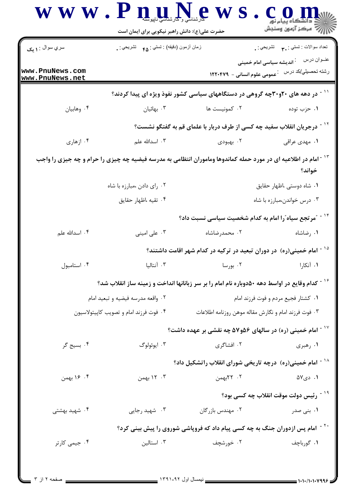| سري سوال : <b>۱ يک</b>                 | زمان أزمون (دقيقه) : تستى : ۴۵ $\bullet$ تشريحي : .                                                                        |                                                                                           | تعداد سوالات : تستي : پم       تشريحي : .<br>عنــوان درس                                                |
|----------------------------------------|----------------------------------------------------------------------------------------------------------------------------|-------------------------------------------------------------------------------------------|---------------------------------------------------------------------------------------------------------|
| www.PnuNews.com<br>www.PnuNews.net     |                                                                                                                            |                                                                                           | <sup>:</sup> اندیشه سیاسی امام خمینی<br>رشته تحصیلي/کد در س <sup>ـــ</sup> عمومی علوم انسانی –  ۱۲۲۰۴۷۹ |
|                                        |                                                                                                                            | <sup>۱۱ -</sup> در دهه های ۲۰و۳۰چه گروهی در دستگاههای سیاسی کشور نفوذ ویژه ای پیدا کردند؟ |                                                                                                         |
| ۰۴ وهابيان                             | ۰۳ بهائیان                                                                                                                 | ۰۲ کمونیست ها                                                                             | ۰۱ حزب توده                                                                                             |
|                                        |                                                                                                                            | <sup>۱۲ -</sup> درجریان انقلاب سفید چه کسی از طرف دربار با علمای قم به گفتگو نشست؟        |                                                                                                         |
| ۰۴ ازهاری                              | ۰۳ اسدالله علم                                                                                                             | ۰۲ بهبودی                                                                                 | ۰۱ مهدی عراقی                                                                                           |
|                                        | <sup>۱۳ -</sup> امام در اطلاعیه ای در مورد حمله کماندوها وماموران انتظامی به مدرسه فیضیه چه چیزی را حرام و چه جیزی را واجب |                                                                                           | خواند؟                                                                                                  |
|                                        | ۰۲ رای دادن ،مبارزه با شاه                                                                                                 |                                                                                           | ۰۱ شاه دوستی ،اظهار حقایق                                                                               |
|                                        | ۰۴ تقیه ،اظهار حقایق                                                                                                       |                                                                                           | ۰۳ درس خواندن،مبارزه با شاه                                                                             |
|                                        |                                                                                                                            | <sup>۱۴ -</sup> "مرتجع سیاه"را امام به کدام شخصیت سیاسی نسبت داد؟                         |                                                                                                         |
| ۰۴ اسدالله علم                         | ۰۳ علی امینی                                                                                                               | ۰۲ محمدرضاشاه                                                                             | ۰۱ رضاشاه                                                                                               |
|                                        |                                                                                                                            | <sup>۱۵ -</sup> امام خمینی(ره) در دوران تبعید در ترکیه در کدام شهر اقامت داشتند؟          |                                                                                                         |
| ۰۴ استامبول                            | ۰۳ آنتالیا                                                                                                                 | ۰۲ بورسا                                                                                  | ۰۱ آنکارا                                                                                               |
|                                        | <sup>۱۶ -</sup> کدام وقایع در اواسط دهه ۵۰دوباره نام امام را بر سر زبانانها انداخت و زمینه ساز انقلاب شد؟                  |                                                                                           |                                                                                                         |
|                                        | ۰۲ واقعه مدرسه فيضيه و تبعيد امام                                                                                          |                                                                                           | ۰۱ کشتار فجیع مردم و فوت فرزند امام                                                                     |
| ۰۴ فوت فرزند امام و تصویب کاپیتولاسیون |                                                                                                                            | ۰۳ فوت فرزند امام و نگارش مقاله موهن روزنامه اطلاعات                                      |                                                                                                         |
|                                        |                                                                                                                            | $^{\circ}$ ا امام خمینی (ره) در سالهای ۵۶و۵۷ چه نقشی بر عهده داشت $^{\circ}$              |                                                                                                         |
| ۰۴ بسیج گر                             | ۰۳ ايوئولوگ                                                                                                                | ۰۲ افشاگری                                                                                | ۰۱ رهبری                                                                                                |
|                                        |                                                                                                                            | <sup>۱۸ -</sup> امام خمینی(ره) درچه تاریخی شورای انقلاب راتشکیل داد؟                      |                                                                                                         |
| ۰۴ ج۱ بهمن                             | ۰۳ بهمن                                                                                                                    | ۰۲ ۲۲بهمن                                                                                 | ۰۱ دی۵۷                                                                                                 |
|                                        |                                                                                                                            |                                                                                           | <sup>۱۹ -</sup> رئیس دولت موقت انقلاب چه کسی بود؟                                                       |
| ۰۴ شهید بهشتی                          | ۰۳ شهید رجایی                                                                                                              | ۰۲ مهندس بازرگان                                                                          | ۰۱ بنی صدر                                                                                              |
|                                        |                                                                                                                            | <sup>۲۰ -</sup> امام پس ازدوران جنگ به چه کسی پیام داد که فروپاشی شوروی را پیش بینی کرد؟  |                                                                                                         |
| ۰۴ جیمی کارتر                          | ۰۳ استالین                                                                                                                 | ۰۲ خورشچف                                                                                 | ۰۱ گورباچف                                                                                              |